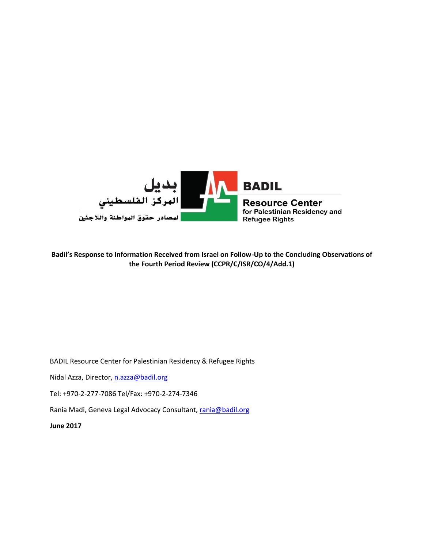

#### **Badil's Response to Information Received from Israel on Follow-Up to the Concluding Observations of the Fourth Period Review (CCPR/C/ISR/CO/4/Add.1)**

BADIL Resource Center for Palestinian Residency & Refugee Rights

Nidal Azza, Director, [n.azza@badil.org](mailto:n.azza@badil.org)

Tel: +970-2-277-7086 Tel/Fax: +970-2-274-7346

Rania Madi, Geneva Legal Advocacy Consultant, [rania@badil.org](mailto:rania@badil.org)

**June 2017**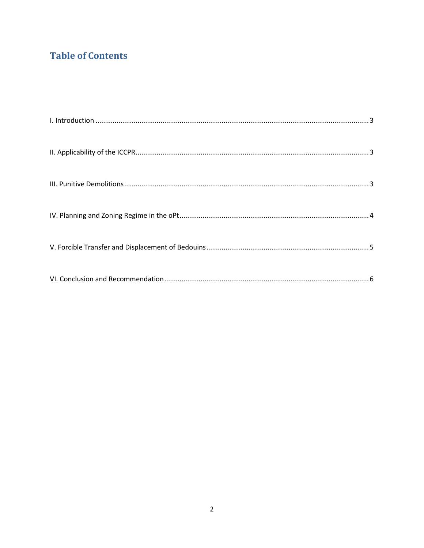# **Table of Contents**

<span id="page-1-0"></span>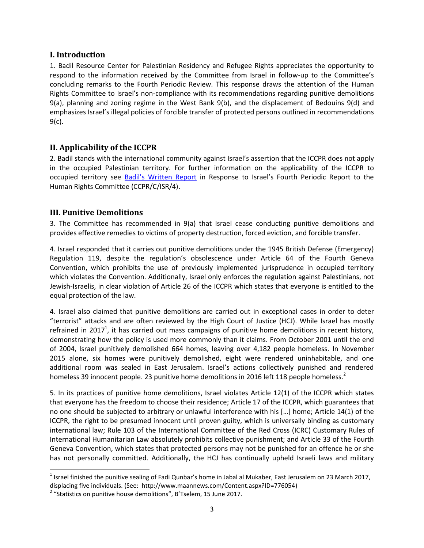#### **I. Introduction**

1. Badil Resource Center for Palestinian Residency and Refugee Rights appreciates the opportunity to respond to the information received by the Committee from Israel in follow-up to the Committee's concluding remarks to the Fourth Periodic Review. This response draws the attention of the Human Rights Committee to Israel's non-compliance with its recommendations regarding punitive demolitions 9(a), planning and zoning regime in the West Bank 9(b), and the displacement of Bedouins 9(d) and emphasizes Israel's illegal policies of forcible transfer of protected persons outlined in recommendations 9(c).

### <span id="page-2-0"></span>**II. Applicability of the ICCPR**

2. Badil stands with the international community against Israel's assertion that the ICCPR does not apply in the occupied Palestinian territory. For further information on the applicability of the ICCPR to occupied territory see [Badil's Written Report](http://www.badil.org/phocadownloadpap/legal-advocacy/un-treaty-based-bodies/2014/Badils-Report-on-CCPR-C-ISR%204-Sep10.pdf) in Response to Israel's Fourth Periodic Report to the Human Rights Committee (CCPR/C/ISR/4).

### <span id="page-2-1"></span>**III. Punitive Demolitions**

 $\overline{\phantom{a}}$ 

3. The Committee has recommended in 9(a) that Israel cease conducting punitive demolitions and provides effective remedies to victims of property destruction, forced eviction, and forcible transfer.

4. Israel responded that it carries out punitive demolitions under the 1945 British Defense (Emergency) Regulation 119, despite the regulation's obsolescence under Article 64 of the Fourth Geneva Convention, which prohibits the use of previously implemented jurisprudence in occupied territory which violates the Convention. Additionally, Israel only enforces the regulation against Palestinians, not Jewish-Israelis, in clear violation of Article 26 of the ICCPR which states that everyone is entitled to the equal protection of the law.

4. Israel also claimed that punitive demolitions are carried out in exceptional cases in order to deter "terrorist" attacks and are often reviewed by the High Court of Justice (HCJ). While Israel has mostly refrained in 2017<sup>1</sup>, it has carried out mass campaigns of punitive home demolitions in recent history, demonstrating how the policy is used more commonly than it claims. From October 2001 until the end of 2004, Israel punitively demolished 664 homes, leaving over 4,182 people homeless. In November 2015 alone, six homes were punitively demolished, eight were rendered uninhabitable, and one additional room was sealed in East Jerusalem. Israel's actions collectively punished and rendered homeless 39 innocent people. 23 punitive home demolitions in 2016 left 118 people homeless.<sup>2</sup>

5. In its practices of punitive home demolitions, Israel violates Article 12(1) of the ICCPR which states that everyone has the freedom to choose their residence; Article 17 of the ICCPR, which guarantees that no one should be subjected to arbitrary or unlawful interference with his  $[...]$  home; Article 14(1) of the ICCPR, the right to be presumed innocent until proven guilty, which is universally binding as customary international law; Rule 103 of the International Committee of the Red Cross (ICRC) Customary Rules of International Humanitarian Law absolutely prohibits collective punishment; and Article 33 of the Fourth Geneva Convention, which states that protected persons may not be punished for an offence he or she has not personally committed. Additionally, the HCJ has continually upheld Israeli laws and military

<sup>&</sup>lt;sup>1</sup> Israel finished the punitive sealing of Fadi Qunbar's home in Jabal al Mukaber, East Jerusalem on 23 March 2017, displacing five individuals. (See: http://www.maannews.com/Content.aspx?ID=776054)

 $2$  "Statistics on punitive house demolitions", B'Tselem, 15 June 2017.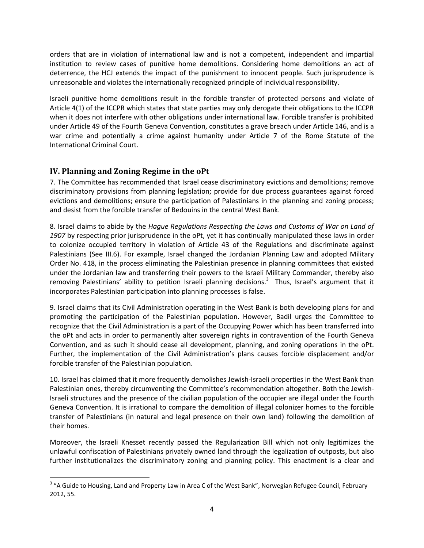orders that are in violation of international law and is not a competent, independent and impartial institution to review cases of punitive home demolitions. Considering home demolitions an act of deterrence, the HCJ extends the impact of the punishment to innocent people. Such jurisprudence is unreasonable and violates the internationally recognized principle of individual responsibility.

Israeli punitive home demolitions result in the forcible transfer of protected persons and violate of Article 4(1) of the ICCPR which states that state parties may only derogate their obligations to the ICCPR when it does not interfere with other obligations under international law. Forcible transfer is prohibited under Article 49 of the Fourth Geneva Convention, constitutes a grave breach under Article 146, and is a war crime and potentially a crime against humanity under Article 7 of the Rome Statute of the International Criminal Court.

# <span id="page-3-0"></span>**IV. Planning and Zoning Regime in the oPt**

7. The Committee has recommended that Israel cease discriminatory evictions and demolitions; remove discriminatory provisions from planning legislation; provide for due process guarantees against forced evictions and demolitions; ensure the participation of Palestinians in the planning and zoning process; and desist from the forcible transfer of Bedouins in the central West Bank.

8. Israel claims to abide by the *Hague Regulations Respecting the Laws and Customs of War on Land of 1907* by respecting prior jurisprudence in the oPt, yet it has continually manipulated these laws in order to colonize occupied territory in violation of Article 43 of the Regulations and discriminate against Palestinians (See III.6). For example, Israel changed the Jordanian Planning Law and adopted Military Order No. 418, in the process eliminating the Palestinian presence in planning committees that existed under the Jordanian law and transferring their powers to the Israeli Military Commander, thereby also removing Palestinians' ability to petition Israeli planning decisions.<sup>3</sup> Thus, Israel's argument that it incorporates Palestinian participation into planning processes is false.

9. Israel claims that its Civil Administration operating in the West Bank is both developing plans for and promoting the participation of the Palestinian population. However, Badil urges the Committee to recognize that the Civil Administration is a part of the Occupying Power which has been transferred into the oPt and acts in order to permanently alter sovereign rights in contravention of the Fourth Geneva Convention, and as such it should cease all development, planning, and zoning operations in the oPt. Further, the implementation of the Civil Administration's plans causes forcible displacement and/or forcible transfer of the Palestinian population.

10. Israel has claimed that it more frequently demolishes Jewish-Israeli properties in the West Bank than Palestinian ones, thereby circumventing the Committee's recommendation altogether. Both the Jewish-Israeli structures and the presence of the civilian population of the occupier are illegal under the Fourth Geneva Convention. It is irrational to compare the demolition of illegal colonizer homes to the forcible transfer of Palestinians (in natural and legal presence on their own land) following the demolition of their homes.

Moreover, the Israeli Knesset recently passed the Regularization Bill which not only legitimizes the unlawful confiscation of Palestinians privately owned land through the legalization of outposts, but also further institutionalizes the discriminatory zoning and planning policy. This enactment is a clear and

l <sup>3</sup> "A Guide to Housing, Land and Property Law in Area C of the West Bank", Norwegian Refugee Council, February 2012, 55.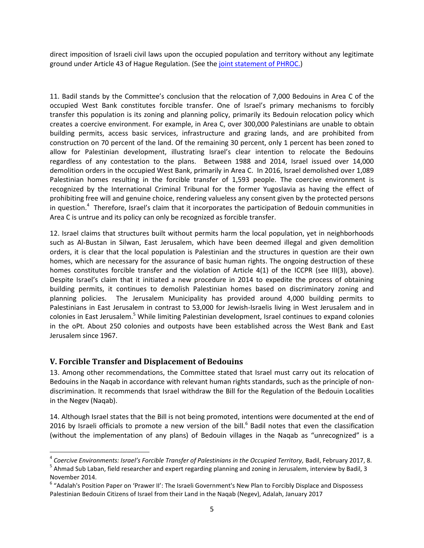direct imposition of Israeli civil laws upon the occupied population and territory without any legitimate ground under Article 43 of Hague Regulation. (See the [joint statement of PHROC.](http://www.badil.org/en/publication/press-releases/86-2017/4729-090217-11.html))

11. Badil stands by the Committee's conclusion that the relocation of 7,000 Bedouins in Area C of the occupied West Bank constitutes forcible transfer. One of Israel's primary mechanisms to forcibly transfer this population is its zoning and planning policy, primarily its Bedouin relocation policy which creates a coercive environment. For example, in Area C, over 300,000 Palestinians are unable to obtain building permits, access basic services, infrastructure and grazing lands, and are prohibited from construction on 70 percent of the land. Of the remaining 30 percent, only 1 percent has been zoned to allow for Palestinian development, illustrating Israel's clear intention to relocate the Bedouins regardless of any contestation to the plans. Between 1988 and 2014, Israel issued over 14,000 demolition orders in the occupied West Bank, primarily in Area C. In 2016, Israel demolished over 1,089 Palestinian homes resulting in the forcible transfer of 1,593 people. The coercive environment is recognized by the International Criminal Tribunal for the former Yugoslavia as having the effect of prohibiting free will and genuine choice, rendering valueless any consent given by the protected persons in question.<sup>4</sup> Therefore, Israel's claim that it incorporates the participation of Bedouin communities in Area C is untrue and its policy can only be recognized as forcible transfer.

12. Israel claims that structures built without permits harm the local population, yet in neighborhoods such as Al-Bustan in Silwan, East Jerusalem, which have been deemed illegal and given demolition orders, it is clear that the local population is Palestinian and the structures in question are their own homes, which are necessary for the assurance of basic human rights. The ongoing destruction of these homes constitutes forcible transfer and the violation of Article 4(1) of the ICCPR (see III(3), above). Despite Israel's claim that it initiated a new procedure in 2014 to expedite the process of obtaining building permits, it continues to demolish Palestinian homes based on discriminatory zoning and planning policies. The Jerusalem Municipality has provided around 4,000 building permits to Palestinians in East Jerusalem in contrast to 53,000 for Jewish-Israelis living in West Jerusalem and in colonies in East Jerusalem.<sup>5</sup> While limiting Palestinian development, Israel continues to expand colonies in the oPt. About 250 colonies and outposts have been established across the West Bank and East Jerusalem since 1967.

## <span id="page-4-0"></span>**V. Forcible Transfer and Displacement of Bedouins**

l

13. Among other recommendations, the Committee stated that Israel must carry out its relocation of Bedouins in the Naqab in accordance with relevant human rights standards, such as the principle of nondiscrimination. It recommends that Israel withdraw the Bill for the Regulation of the Bedouin Localities in the Negev (Naqab).

14. Although Israel states that the Bill is not being promoted, intentions were documented at the end of 2016 by Israeli officials to promote a new version of the bill. $<sup>6</sup>$  Badil notes that even the classification</sup> (without the implementation of any plans) of Bedouin villages in the Naqab as "unrecognized" is a

<sup>4</sup> *Coercive Environments: Israel's Forcible Transfer of Palestinians in the Occupied Territory,* Badil, February 2017, 8.

<sup>&</sup>lt;sup>5</sup> Ahmad Sub Laban, field researcher and expert regarding planning and zoning in Jerusalem, interview by Badil, 3 November 2014.

<sup>&</sup>lt;sup>6</sup> "Adalah's Position Paper on 'Prawer II': The Israeli Government's New Plan to Forcibly Displace and Dispossess Palestinian Bedouin Citizens of Israel from their Land in the Naqab (Negev), Adalah, January 2017